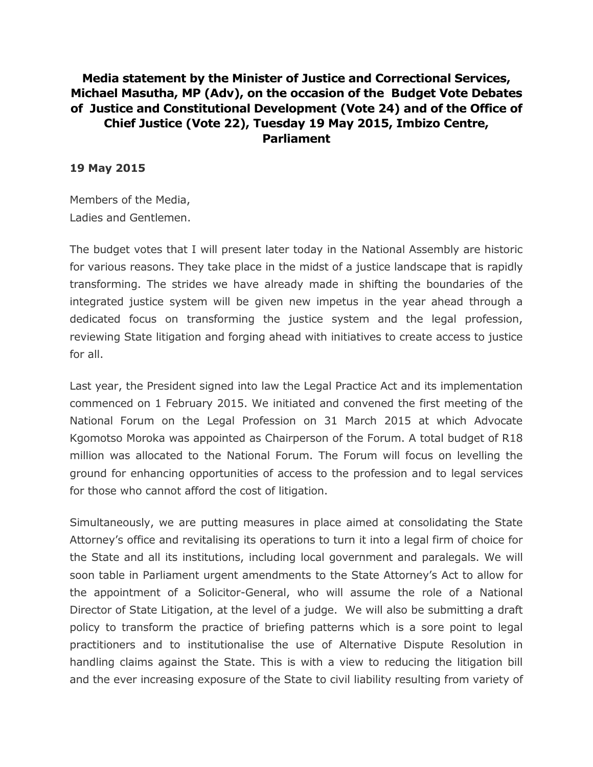## **Media statement by the Minister of Justice and Correctional Services, Michael Masutha, MP (Adv), on the occasion of the Budget Vote Debates of Justice and Constitutional Development (Vote 24) and of the Office of Chief Justice (Vote 22), Tuesday 19 May 2015, Imbizo Centre, Parliament**

## **19 May 2015**

Members of the Media, Ladies and Gentlemen.

The budget votes that I will present later today in the National Assembly are historic for various reasons. They take place in the midst of a justice landscape that is rapidly transforming. The strides we have already made in shifting the boundaries of the integrated justice system will be given new impetus in the year ahead through a dedicated focus on transforming the justice system and the legal profession, reviewing State litigation and forging ahead with initiatives to create access to justice for all.

Last year, the President signed into law the Legal Practice Act and its implementation commenced on 1 February 2015. We initiated and convened the first meeting of the National Forum on the Legal Profession on 31 March 2015 at which Advocate Kgomotso Moroka was appointed as Chairperson of the Forum. A total budget of R18 million was allocated to the National Forum. The Forum will focus on levelling the ground for enhancing opportunities of access to the profession and to legal services for those who cannot afford the cost of litigation.

Simultaneously, we are putting measures in place aimed at consolidating the State Attorney's office and revitalising its operations to turn it into a legal firm of choice for the State and all its institutions, including local government and paralegals. We will soon table in Parliament urgent amendments to the State Attorney's Act to allow for the appointment of a Solicitor-General, who will assume the role of a National Director of State Litigation, at the level of a judge. We will also be submitting a draft policy to transform the practice of briefing patterns which is a sore point to legal practitioners and to institutionalise the use of Alternative Dispute Resolution in handling claims against the State. This is with a view to reducing the litigation bill and the ever increasing exposure of the State to civil liability resulting from variety of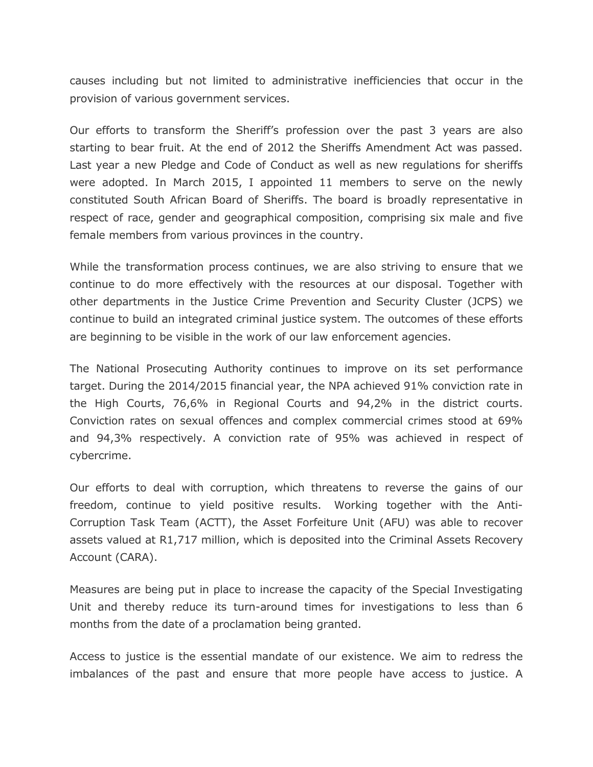causes including but not limited to administrative inefficiencies that occur in the provision of various government services.

Our efforts to transform the Sheriff's profession over the past 3 years are also starting to bear fruit. At the end of 2012 the Sheriffs Amendment Act was passed. Last year a new Pledge and Code of Conduct as well as new regulations for sheriffs were adopted. In March 2015, I appointed 11 members to serve on the newly constituted South African Board of Sheriffs. The board is broadly representative in respect of race, gender and geographical composition, comprising six male and five female members from various provinces in the country.

While the transformation process continues, we are also striving to ensure that we continue to do more effectively with the resources at our disposal. Together with other departments in the Justice Crime Prevention and Security Cluster (JCPS) we continue to build an integrated criminal justice system. The outcomes of these efforts are beginning to be visible in the work of our law enforcement agencies.

The National Prosecuting Authority continues to improve on its set performance target. During the 2014/2015 financial year, the NPA achieved 91% conviction rate in the High Courts, 76,6% in Regional Courts and 94,2% in the district courts. Conviction rates on sexual offences and complex commercial crimes stood at 69% and 94,3% respectively. A conviction rate of 95% was achieved in respect of cybercrime.

Our efforts to deal with corruption, which threatens to reverse the gains of our freedom, continue to yield positive results. Working together with the Anti-Corruption Task Team (ACTT), the Asset Forfeiture Unit (AFU) was able to recover assets valued at R1,717 million, which is deposited into the Criminal Assets Recovery Account (CARA).

Measures are being put in place to increase the capacity of the Special Investigating Unit and thereby reduce its turn-around times for investigations to less than 6 months from the date of a proclamation being granted.

Access to justice is the essential mandate of our existence. We aim to redress the imbalances of the past and ensure that more people have access to justice. A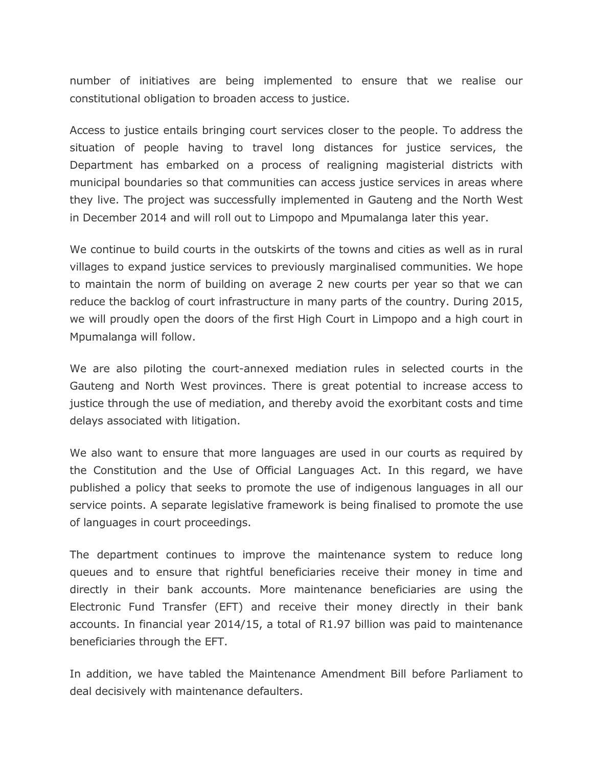number of initiatives are being implemented to ensure that we realise our constitutional obligation to broaden access to justice.

Access to justice entails bringing court services closer to the people. To address the situation of people having to travel long distances for justice services, the Department has embarked on a process of realigning magisterial districts with municipal boundaries so that communities can access justice services in areas where they live. The project was successfully implemented in Gauteng and the North West in December 2014 and will roll out to Limpopo and Mpumalanga later this year.

We continue to build courts in the outskirts of the towns and cities as well as in rural villages to expand justice services to previously marginalised communities. We hope to maintain the norm of building on average 2 new courts per year so that we can reduce the backlog of court infrastructure in many parts of the country. During 2015, we will proudly open the doors of the first High Court in Limpopo and a high court in Mpumalanga will follow.

We are also piloting the court-annexed mediation rules in selected courts in the Gauteng and North West provinces. There is great potential to increase access to justice through the use of mediation, and thereby avoid the exorbitant costs and time delays associated with litigation.

We also want to ensure that more languages are used in our courts as required by the Constitution and the Use of Official Languages Act. In this regard, we have published a policy that seeks to promote the use of indigenous languages in all our service points. A separate legislative framework is being finalised to promote the use of languages in court proceedings.

The department continues to improve the maintenance system to reduce long queues and to ensure that rightful beneficiaries receive their money in time and directly in their bank accounts. More maintenance beneficiaries are using the Electronic Fund Transfer (EFT) and receive their money directly in their bank accounts. In financial year 2014/15, a total of R1.97 billion was paid to maintenance beneficiaries through the EFT.

In addition, we have tabled the Maintenance Amendment Bill before Parliament to deal decisively with maintenance defaulters.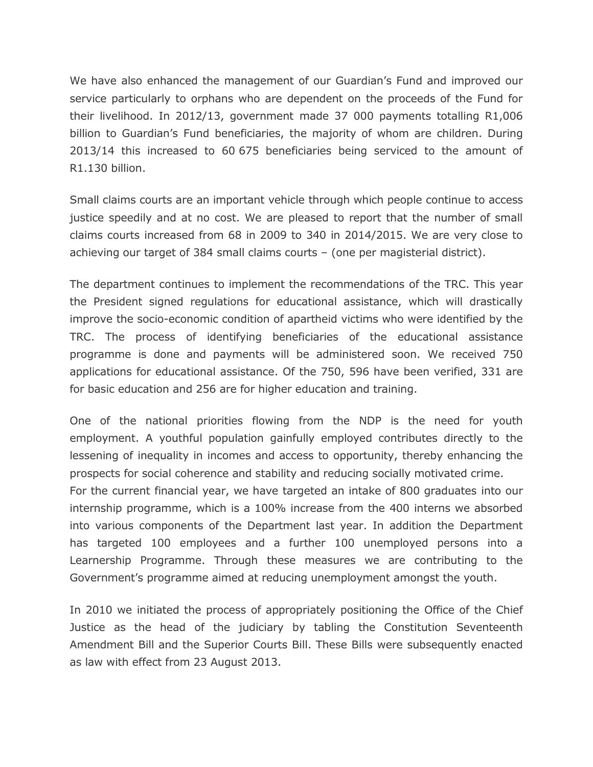We have also enhanced the management of our Guardian's Fund and improved our service particularly to orphans who are dependent on the proceeds of the Fund for their livelihood. In 2012/13, government made 37 000 payments totalling R1,006 billion to Guardian's Fund beneficiaries, the majority of whom are children. During 2013/14 this increased to 60 675 beneficiaries being serviced to the amount of R1.130 billion.

Small claims courts are an important vehicle through which people continue to access justice speedily and at no cost. We are pleased to report that the number of small claims courts increased from 68 in 2009 to 340 in 2014/2015. We are very close to achieving our target of 384 small claims courts – (one per magisterial district).

The department continues to implement the recommendations of the TRC. This year the President signed regulations for educational assistance, which will drastically improve the socio-economic condition of apartheid victims who were identified by the TRC. The process of identifying beneficiaries of the educational assistance programme is done and payments will be administered soon. We received 750 applications for educational assistance. Of the 750, 596 have been verified, 331 are for basic education and 256 are for higher education and training.

One of the national priorities flowing from the NDP is the need for youth employment. A youthful population gainfully employed contributes directly to the lessening of inequality in incomes and access to opportunity, thereby enhancing the prospects for social coherence and stability and reducing socially motivated crime.

For the current financial year, we have targeted an intake of 800 graduates into our internship programme, which is a 100% increase from the 400 interns we absorbed into various components of the Department last year. In addition the Department has targeted 100 employees and a further 100 unemployed persons into a Learnership Programme. Through these measures we are contributing to the Government's programme aimed at reducing unemployment amongst the youth.

In 2010 we initiated the process of appropriately positioning the Office of the Chief Justice as the head of the judiciary by tabling the Constitution Seventeenth Amendment Bill and the Superior Courts Bill. These Bills were subsequently enacted as law with effect from 23 August 2013.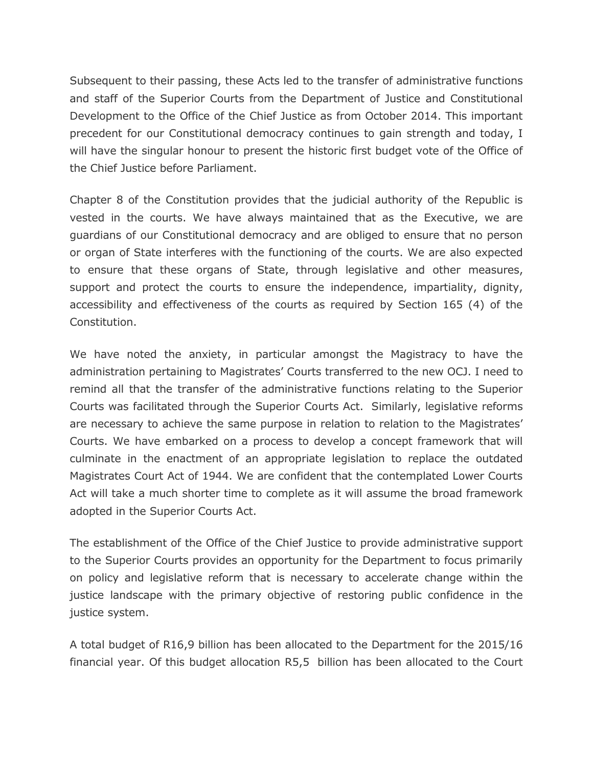Subsequent to their passing, these Acts led to the transfer of administrative functions and staff of the Superior Courts from the Department of Justice and Constitutional Development to the Office of the Chief Justice as from October 2014. This important precedent for our Constitutional democracy continues to gain strength and today, I will have the singular honour to present the historic first budget vote of the Office of the Chief Justice before Parliament.

Chapter 8 of the Constitution provides that the judicial authority of the Republic is vested in the courts. We have always maintained that as the Executive, we are guardians of our Constitutional democracy and are obliged to ensure that no person or organ of State interferes with the functioning of the courts. We are also expected to ensure that these organs of State, through legislative and other measures, support and protect the courts to ensure the independence, impartiality, dignity, accessibility and effectiveness of the courts as required by Section 165 (4) of the Constitution.

We have noted the anxiety, in particular amongst the Magistracy to have the administration pertaining to Magistrates' Courts transferred to the new OCJ. I need to remind all that the transfer of the administrative functions relating to the Superior Courts was facilitated through the Superior Courts Act. Similarly, legislative reforms are necessary to achieve the same purpose in relation to relation to the Magistrates' Courts. We have embarked on a process to develop a concept framework that will culminate in the enactment of an appropriate legislation to replace the outdated Magistrates Court Act of 1944. We are confident that the contemplated Lower Courts Act will take a much shorter time to complete as it will assume the broad framework adopted in the Superior Courts Act.

The establishment of the Office of the Chief Justice to provide administrative support to the Superior Courts provides an opportunity for the Department to focus primarily on policy and legislative reform that is necessary to accelerate change within the justice landscape with the primary objective of restoring public confidence in the justice system.

A total budget of R16,9 billion has been allocated to the Department for the 2015/16 financial year. Of this budget allocation R5,5 billion has been allocated to the Court